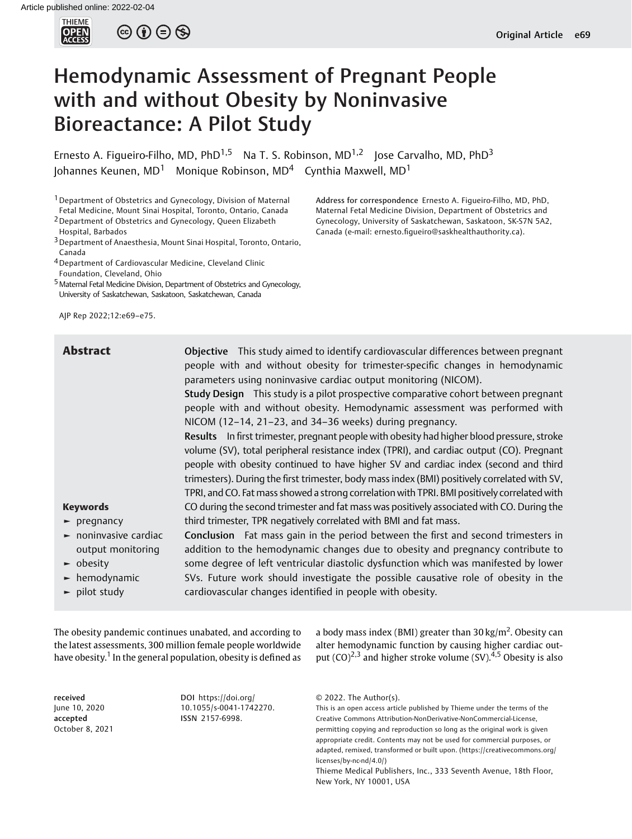

 $\circledcirc \circledcirc \circledcirc$ 

# Hemodynamic Assessment of Pregnant People with and without Obesity by Noninvasive Bioreactance: A Pilot Study

Ernesto A. Figueiro-Filho, MD, PhD<sup>1,5</sup> Na T. S. Robinson, MD<sup>1,2</sup> Jose Carvalho, MD, PhD<sup>3</sup> Johannes Keunen, MD<sup>1</sup> Monique Robinson, MD<sup>4</sup> Cynthia Maxwell, MD<sup>1</sup>

<sup>1</sup> Department of Obstetrics and Gynecology, Division of Maternal Fetal Medicine, Mount Sinai Hospital, Toronto, Ontario, Canada

2Department of Obstetrics and Gynecology, Queen Elizabeth Hospital, Barbados

3Department of Anaesthesia, Mount Sinai Hospital, Toronto, Ontario, Canada

4Department of Cardiovascular Medicine, Cleveland Clinic Foundation, Cleveland, Ohio

<sup>5</sup> Maternal Fetal Medicine Division, Department of Obstetrics and Gynecology, University of Saskatchewan, Saskatoon, Saskatchewan, Canada

AJP Rep 2022;12:e69–e75.

Address for correspondence Ernesto A. Figueiro-Filho, MD, PhD, Maternal Fetal Medicine Division, Department of Obstetrics and Gynecology, University of Saskatchewan, Saskatoon, SK-S7N 5A2, Canada (e-mail: ernesto.fi[gueiro@saskhealthauthority.ca](mailto:ernesto.figueiro@saskhealthauthority.ca)).

| <b>Abstract</b>                                                                                                                                                           | Objective This study aimed to identify cardiovascular differences between pregnant<br>people with and without obesity for trimester-specific changes in hemodynamic<br>parameters using noninvasive cardiac output monitoring (NICOM).<br>Study Design This study is a pilot prospective comparative cohort between pregnant<br>people with and without obesity. Hemodynamic assessment was performed with<br>NICOM (12-14, 21-23, and 34-36 weeks) during pregnancy.<br>Results In first trimester, pregnant people with obesity had higher blood pressure, stroke<br>volume (SV), total peripheral resistance index (TPRI), and cardiac output (CO). Pregnant<br>people with obesity continued to have higher SV and cardiac index (second and third<br>trimesters). During the first trimester, body mass index (BMI) positively correlated with SV, |
|---------------------------------------------------------------------------------------------------------------------------------------------------------------------------|---------------------------------------------------------------------------------------------------------------------------------------------------------------------------------------------------------------------------------------------------------------------------------------------------------------------------------------------------------------------------------------------------------------------------------------------------------------------------------------------------------------------------------------------------------------------------------------------------------------------------------------------------------------------------------------------------------------------------------------------------------------------------------------------------------------------------------------------------------|
|                                                                                                                                                                           | TPRI, and CO. Fat mass showed a strong correlation with TPRI. BMI positively correlated with                                                                                                                                                                                                                                                                                                                                                                                                                                                                                                                                                                                                                                                                                                                                                            |
| <b>Keywords</b>                                                                                                                                                           | CO during the second trimester and fat mass was positively associated with CO. During the                                                                                                                                                                                                                                                                                                                                                                                                                                                                                                                                                                                                                                                                                                                                                               |
| $\blacktriangleright$ pregnancy                                                                                                                                           | third trimester, TPR negatively correlated with BMI and fat mass.                                                                                                                                                                                                                                                                                                                                                                                                                                                                                                                                                                                                                                                                                                                                                                                       |
| $\blacktriangleright$ noninvasive cardiac<br>output monitoring<br>$\blacktriangleright$ obesity<br>$\blacktriangleright$ hemodynamic<br>$\blacktriangleright$ pilot study | <b>Conclusion</b> Fat mass gain in the period between the first and second trimesters in<br>addition to the hemodynamic changes due to obesity and pregnancy contribute to<br>some degree of left ventricular diastolic dysfunction which was manifested by lower<br>SVs. Future work should investigate the possible causative role of obesity in the<br>cardiovascular changes identified in people with obesity.                                                                                                                                                                                                                                                                                                                                                                                                                                     |
|                                                                                                                                                                           |                                                                                                                                                                                                                                                                                                                                                                                                                                                                                                                                                                                                                                                                                                                                                                                                                                                         |

The obesity pandemic continues unabated, and according to the latest assessments, 300 million female people worldwide have obesity.<sup>1</sup> In the general population, obesity is defined as

received June 10, 2020 accepted October 8, 2021 DOI [https://doi.org/](https://doi.org/10.1055/s-0041-1742270) [10.1055/s-0041-1742270](https://doi.org/10.1055/s-0041-1742270). ISSN 2157-6998.

a body mass index (BMI) greater than  $30 \text{ kg/m}^2$ . Obesity can alter hemodynamic function by causing higher cardiac output  $(CO)^{2,3}$  and higher stroke volume  $(SV)^{4,5}$  Obesity is also

© 2022. The Author(s).

This is an open access article published by Thieme under the terms of the Creative Commons Attribution-NonDerivative-NonCommercial-License, permitting copying and reproduction so long as the original work is given appropriate credit. Contents may not be used for commercial purposes, or adapted, remixed, transformed or built upon. (https://creativecommons.org/ licenses/by-nc-nd/4.0/)

Thieme Medical Publishers, Inc., 333 Seventh Avenue, 18th Floor, New York, NY 10001, USA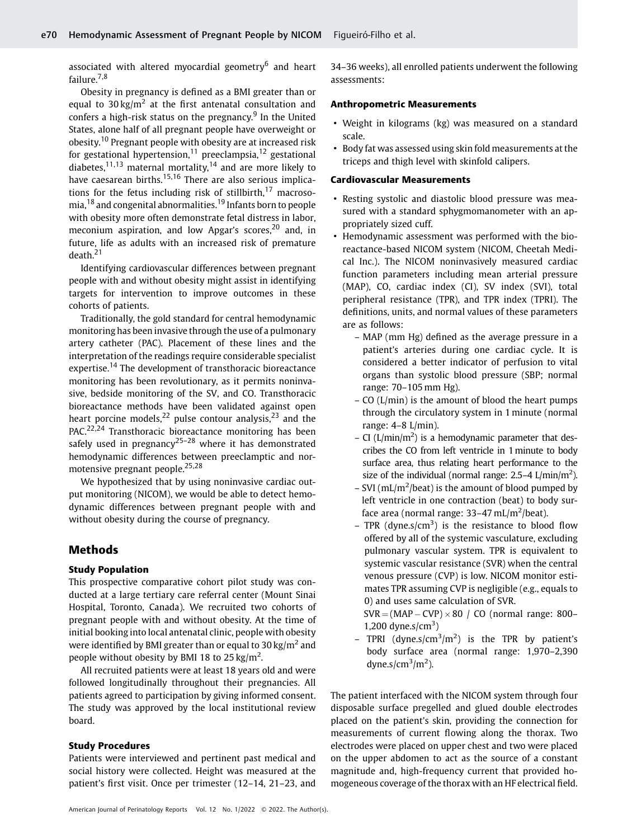associated with altered myocardial geometry $6$  and heart failure.<sup>7,8</sup>

Obesity in pregnancy is defined as a BMI greater than or equal to  $30 \text{ kg/m}^2$  at the first antenatal consultation and confers a high-risk status on the pregnancy.<sup>9</sup> In the United States, alone half of all pregnant people have overweight or obesity.<sup>10</sup> Pregnant people with obesity are at increased risk for gestational hypertension,<sup>11</sup> preeclampsia,<sup>12</sup> gestational diabetes, $11,13$  maternal mortality, $14$  and are more likely to have caesarean births.<sup>15,16</sup> There are also serious implications for the fetus including risk of stillbirth, $17$  macrosomia,<sup>18</sup> and congenital abnormalities.<sup>19</sup> Infants born to people with obesity more often demonstrate fetal distress in labor, meconium aspiration, and low Apgar's scores,  $20$  and, in future, life as adults with an increased risk of premature death.<sup>21</sup>

Identifying cardiovascular differences between pregnant people with and without obesity might assist in identifying targets for intervention to improve outcomes in these cohorts of patients.

Traditionally, the gold standard for central hemodynamic monitoring has been invasive through the use of a pulmonary artery catheter (PAC). Placement of these lines and the interpretation of the readings require considerable specialist expertise.<sup>14</sup> The development of transthoracic bioreactance monitoring has been revolutionary, as it permits noninvasive, bedside monitoring of the SV, and CO. Transthoracic bioreactance methods have been validated against open heart porcine models,  $22$  pulse contour analysis,  $23$  and the PAC.<sup>22,24</sup> Transthoracic bioreactance monitoring has been safely used in pregnancy<sup>25–28</sup> where it has demonstrated hemodynamic differences between preeclamptic and normotensive pregnant people.25,28

We hypothesized that by using noninvasive cardiac output monitoring (NICOM), we would be able to detect hemodynamic differences between pregnant people with and without obesity during the course of pregnancy.

# Methods

### Study Population

This prospective comparative cohort pilot study was conducted at a large tertiary care referral center (Mount Sinai Hospital, Toronto, Canada). We recruited two cohorts of pregnant people with and without obesity. At the time of initial booking into local antenatal clinic, people with obesity were identified by BMI greater than or equal to  $30 \text{ kg/m}^2$  and people without obesity by BMI 18 to 25 kg/m<sup>2</sup>.

All recruited patients were at least 18 years old and were followed longitudinally throughout their pregnancies. All patients agreed to participation by giving informed consent. The study was approved by the local institutional review board.

### Study Procedures

Patients were interviewed and pertinent past medical and social history were collected. Height was measured at the patient's first visit. Once per trimester (12–14, 21–23, and

34–36 weeks), all enrolled patients underwent the following assessments:

### Anthropometric Measurements

- Weight in kilograms (kg) was measured on a standard scale.
- Body fat was assessed using skin fold measurements at the triceps and thigh level with skinfold calipers.

## Cardiovascular Measurements

- Resting systolic and diastolic blood pressure was measured with a standard sphygmomanometer with an appropriately sized cuff.
- Hemodynamic assessment was performed with the bioreactance-based NICOM system (NICOM, Cheetah Medical Inc.). The NICOM noninvasively measured cardiac function parameters including mean arterial pressure (MAP), CO, cardiac index (CI), SV index (SVI), total peripheral resistance (TPR), and TPR index (TPRI). The definitions, units, and normal values of these parameters are as follows:
	- MAP (mm Hg) defined as the average pressure in a patient's arteries during one cardiac cycle. It is considered a better indicator of perfusion to vital organs than systolic blood pressure (SBP; normal range: 70–105 mm Hg).
	- CO (L/min) is the amount of blood the heart pumps through the circulatory system in 1 minute (normal range: 4–8 L/min).
	- $-$  CI (L/min/m<sup>2</sup>) is a hemodynamic parameter that describes the CO from left ventricle in 1minute to body surface area, thus relating heart performance to the size of the individual (normal range:  $2.5 - 4$  L/min/m<sup>2</sup>).
	- $-$  SVI (mL/m<sup>2</sup>/beat) is the amount of blood pumped by left ventricle in one contraction (beat) to body surface area (normal range:  $33-47$  mL/m<sup>2</sup>/beat).
	- TPR (dyne.s/cm<sup>3</sup>) is the resistance to blood flow offered by all of the systemic vasculature, excluding pulmonary vascular system. TPR is equivalent to systemic vascular resistance (SVR) when the central venous pressure (CVP) is low. NICOM monitor estimates TPR assuming CVP is negligible (e.g., equals to 0) and uses same calculation of SVR.
		- $SVR = (MAP CVP) \times 80 / CO$  (normal range: 800– 1,200 dyne.s/ $\text{cm}^3$ )
	- TPRI (dyne.s/ $\text{cm}^3/\text{m}^2$ ) is the TPR by patient's body surface area (normal range: 1,970–2,390 dyne.s/ $\text{cm}^3/\text{m}^2$ ).

The patient interfaced with the NICOM system through four disposable surface pregelled and glued double electrodes placed on the patient's skin, providing the connection for measurements of current flowing along the thorax. Two electrodes were placed on upper chest and two were placed on the upper abdomen to act as the source of a constant magnitude and, high-frequency current that provided homogeneous coverage of the thorax with an HF electrical field.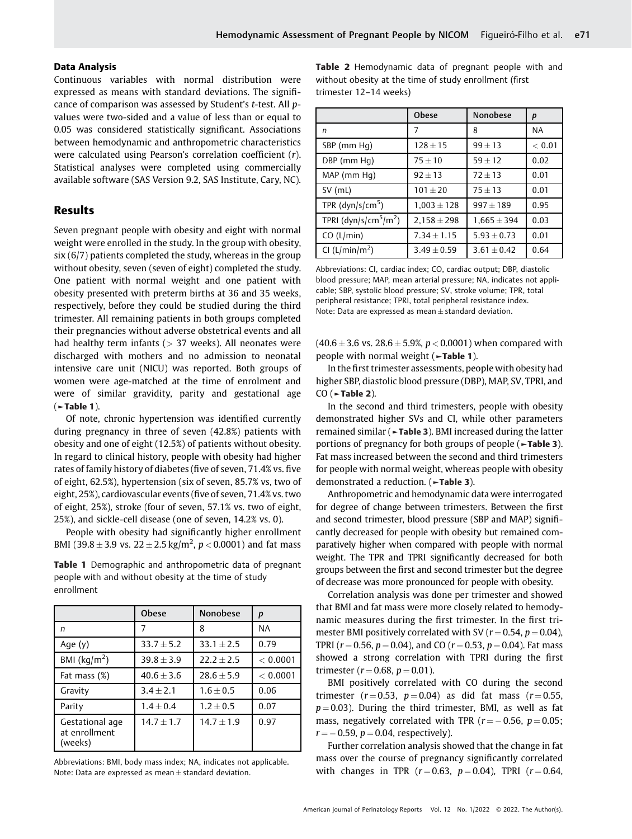#### Data Analysis

Continuous variables with normal distribution were expressed as means with standard deviations. The significance of comparison was assessed by Student's t-test. All pvalues were two-sided and a value of less than or equal to 0.05 was considered statistically significant. Associations between hemodynamic and anthropometric characteristics were calculated using Pearson's correlation coefficient (r). Statistical analyses were completed using commercially available software (SAS Version 9.2, SAS Institute, Cary, NC).

## Results

Seven pregnant people with obesity and eight with normal weight were enrolled in the study. In the group with obesity, six (6/7) patients completed the study, whereas in the group without obesity, seven (seven of eight) completed the study. One patient with normal weight and one patient with obesity presented with preterm births at 36 and 35 weeks, respectively, before they could be studied during the third trimester. All remaining patients in both groups completed their pregnancies without adverse obstetrical events and all had healthy term infants ( $> 37$  weeks). All neonates were discharged with mothers and no admission to neonatal intensive care unit (NICU) was reported. Both groups of women were age-matched at the time of enrolment and were of similar gravidity, parity and gestational age (►Table 1).

Of note, chronic hypertension was identified currently during pregnancy in three of seven (42.8%) patients with obesity and one of eight (12.5%) of patients without obesity. In regard to clinical history, people with obesity had higher rates of family history of diabetes (five of seven, 71.4% vs. five of eight, 62.5%), hypertension (six of seven, 85.7% vs, two of eight, 25%), cardiovascular events (five of seven, 71.4% vs. two of eight, 25%), stroke (four of seven, 57.1% vs. two of eight, 25%), and sickle-cell disease (one of seven, 14.2% vs. 0).

People with obesity had significantly higher enrollment BMI (39.8  $\pm$  3.9 vs. 22  $\pm$  2.5 kg/m<sup>2</sup>, p < 0.0001) and fat mass

Table 1 Demographic and anthropometric data of pregnant people with and without obesity at the time of study enrollment

|                                             | <b>Obese</b> | <b>Nonobese</b> | p        |  |
|---------------------------------------------|--------------|-----------------|----------|--|
| n                                           |              | 8               | ΝA       |  |
| Age $(y)$                                   | $33.7 + 5.2$ | $33.1 + 2.5$    | 0.79     |  |
| BMI ( $\text{kg/m}^2$ )                     | $39.8 + 3.9$ | $22.2 + 2.5$    | < 0.0001 |  |
| Fat mass $(\%)$                             | $40.6 + 3.6$ | $28.6 + 5.9$    | < 0.0001 |  |
| Gravity                                     | $3.4 + 2.1$  | $1.6 + 0.5$     | 0.06     |  |
| Parity                                      | $1.4 + 0.4$  | $1.2 + 0.5$     | 0.07     |  |
| Gestational age<br>at enrollment<br>(weeks) | $14.7 + 1.7$ | $14.7 + 1.9$    | 0.97     |  |

Abbreviations: BMI, body mass index; NA, indicates not applicable. Note: Data are expressed as mean  $\pm$  standard deviation.

Table 2 Hemodynamic data of pregnant people with and without obesity at the time of study enrollment (first trimester 12–14 weeks)

|                                               | Obese           | <b>Nonobese</b> | p         |
|-----------------------------------------------|-----------------|-----------------|-----------|
| n                                             | 7               | 8               | <b>NA</b> |
| SBP (mm Hq)                                   | $128 \pm 15$    | $99 + 13$       | < 0.01    |
| DBP (mm Hq)                                   | $75 + 10$       | $59 + 12$       | 0.02      |
| MAP (mm Hq)                                   | $92 + 13$       | $72 + 13$       | 0.01      |
| SV (mL)                                       | $101 + 20$      | $75 + 13$       | 0.01      |
| TPR $(dyn/s/cm5)$                             | $1,003 \pm 128$ | $997 + 189$     | 0.95      |
| TPRI (dyn/s/cm <sup>5</sup> /m <sup>2</sup> ) | $2,158 \pm 298$ | $1,665 \pm 394$ | 0.03      |
| CO (L/min)                                    | $7.34 \pm 1.15$ | $5.93 \pm 0.73$ | 0.01      |
| CI (L/min/m <sup>2</sup> )                    | $3.49 \pm 0.59$ | $3.61 \pm 0.42$ | 0.64      |

Abbreviations: CI, cardiac index; CO, cardiac output; DBP, diastolic blood pressure; MAP, mean arterial pressure; NA, indicates not applicable; SBP, systolic blood pressure; SV, stroke volume; TPR, total peripheral resistance; TPRI, total peripheral resistance index. Note: Data are expressed as mean  $\pm$  standard deviation.

 $(40.6 \pm 3.6 \text{ vs. } 28.6 \pm 5.9\%, p < 0.0001)$  when compared with people with normal weight (►Table 1).

In the first trimester assessments, people with obesity had higher SBP, diastolic blood pressure (DBP), MAP, SV, TPRI, and  $CO$  ( $\sim$ Table 2).

In the second and third trimesters, people with obesity demonstrated higher SVs and CI, while other parameters remained similar (►Table 3). BMI increased during the latter portions of pregnancy for both groups of people (►Table 3). Fat mass increased between the second and third trimesters for people with normal weight, whereas people with obesity demonstrated a reduction. (►Table 3).

Anthropometric and hemodynamic data were interrogated for degree of change between trimesters. Between the first and second trimester, blood pressure (SBP and MAP) significantly decreased for people with obesity but remained comparatively higher when compared with people with normal weight. The TPR and TPRI significantly decreased for both groups between the first and second trimester but the degree of decrease was more pronounced for people with obesity.

Correlation analysis was done per trimester and showed that BMI and fat mass were more closely related to hemodynamic measures during the first trimester. In the first trimester BMI positively correlated with SV ( $r = 0.54$ ,  $p = 0.04$ ), TPRI ( $r = 0.56$ ,  $p = 0.04$ ), and CO ( $r = 0.53$ ,  $p = 0.04$ ). Fat mass showed a strong correlation with TPRI during the first trimester ( $r = 0.68$ ,  $p = 0.01$ ).

BMI positively correlated with CO during the second trimester ( $r = 0.53$ ,  $p = 0.04$ ) as did fat mass ( $r = 0.55$ ,  $p = 0.03$ ). During the third trimester, BMI, as well as fat mass, negatively correlated with TPR ( $r = -0.56$ ,  $p = 0.05$ ;  $r = -0.59$ ,  $p = 0.04$ , respectively).

Further correlation analysis showed that the change in fat mass over the course of pregnancy significantly correlated with changes in TPR  $(r = 0.63, p = 0.04)$ , TPRI  $(r = 0.64,$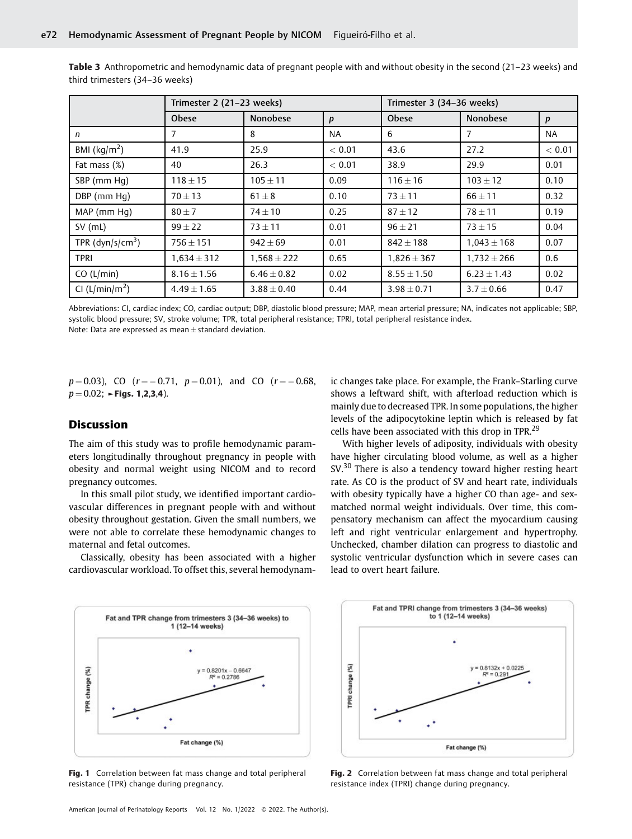|                            | Trimester 2 (21-23 weeks) |                 |           | Trimester 3 (34-36 weeks) |                 |           |
|----------------------------|---------------------------|-----------------|-----------|---------------------------|-----------------|-----------|
|                            | <b>Obese</b>              | <b>Nonobese</b> | p         | <b>Obese</b>              | <b>Nonobese</b> | p         |
| n                          | 7                         | 8               | <b>NA</b> | 6                         | 7               | <b>NA</b> |
| BMI ( $\text{kg/m}^2$ )    | 41.9                      | 25.9            | < 0.01    | 43.6                      | 27.2            | < 0.01    |
| Fat mass (%)               | 40                        | 26.3            | < 0.01    | 38.9                      | 29.9            | 0.01      |
| SBP (mm Hq)                | $118 \pm 15$              | $105 \pm 11$    | 0.09      | $116 \pm 16$              | $103 \pm 12$    | 0.10      |
| DBP (mm Hq)                | $70 \pm 13$               | $61 \pm 8$      | 0.10      | $73 \pm 11$               | $66 \pm 11$     | 0.32      |
| MAP (mm Hq)                | $80 \pm 7$                | $74 + 10$       | 0.25      | $87 \pm 12$               | $78 \pm 11$     | 0.19      |
| $SV$ (mL)                  | $99 + 22$                 | $73 \pm 11$     | 0.01      | $96 \pm 21$               | $73 \pm 15$     | 0.04      |
| TPR $(dyn/s/cm3)$          | $756 \pm 151$             | $942 \pm 69$    | 0.01      | $842 \pm 188$             | $1,043 \pm 168$ | 0.07      |
| TPRI                       | $1,634 \pm 312$           | $1,568 \pm 222$ | 0.65      | $1,826 \pm 367$           | $1,732 \pm 266$ | 0.6       |
| CO (L/min)                 | $8.16 \pm 1.56$           | $6.46 \pm 0.82$ | 0.02      | $8.55 \pm 1.50$           | $6.23 + 1.43$   | 0.02      |
| CI (L/min/m <sup>2</sup> ) | $4.49 \pm 1.65$           | $3.88 \pm 0.40$ | 0.44      | $3.98 \pm 0.71$           | $3.7 \pm 0.66$  | 0.47      |

Table 3 Anthropometric and hemodynamic data of pregnant people with and without obesity in the second (21–23 weeks) and third trimesters (34–36 weeks)

Abbreviations: CI, cardiac index; CO, cardiac output; DBP, diastolic blood pressure; MAP, mean arterial pressure; NA, indicates not applicable; SBP, systolic blood pressure; SV, stroke volume; TPR, total peripheral resistance; TPRI, total peripheral resistance index. Note: Data are expressed as mean  $\pm$  standard deviation.

 $p=0.03$ ), CO ( $r=-0.71$ ,  $p=0.01$ ), and CO ( $r=-0.68$ ,  $p = 0.02$ ;  $\blacktriangleright$  Figs. 1,2,3,4).

# **Discussion**

The aim of this study was to profile hemodynamic parameters longitudinally throughout pregnancy in people with obesity and normal weight using NICOM and to record pregnancy outcomes.

In this small pilot study, we identified important cardiovascular differences in pregnant people with and without obesity throughout gestation. Given the small numbers, we were not able to correlate these hemodynamic changes to maternal and fetal outcomes.

Classically, obesity has been associated with a higher cardiovascular workload. To offset this, several hemodynamic changes take place. For example, the Frank–Starling curve shows a leftward shift, with afterload reduction which is mainly due to decreased TPR. In some populations, the higher levels of the adipocytokine leptin which is released by fat cells have been associated with this drop in TPR.<sup>29</sup>

With higher levels of adiposity, individuals with obesity have higher circulating blood volume, as well as a higher SV.<sup>30</sup> There is also a tendency toward higher resting heart rate. As CO is the product of SV and heart rate, individuals with obesity typically have a higher CO than age- and sexmatched normal weight individuals. Over time, this compensatory mechanism can affect the myocardium causing left and right ventricular enlargement and hypertrophy. Unchecked, chamber dilation can progress to diastolic and systolic ventricular dysfunction which in severe cases can lead to overt heart failure.



Fig. 1 Correlation between fat mass change and total peripheral resistance (TPR) change during pregnancy.



Fig. 2 Correlation between fat mass change and total peripheral resistance index (TPRI) change during pregnancy.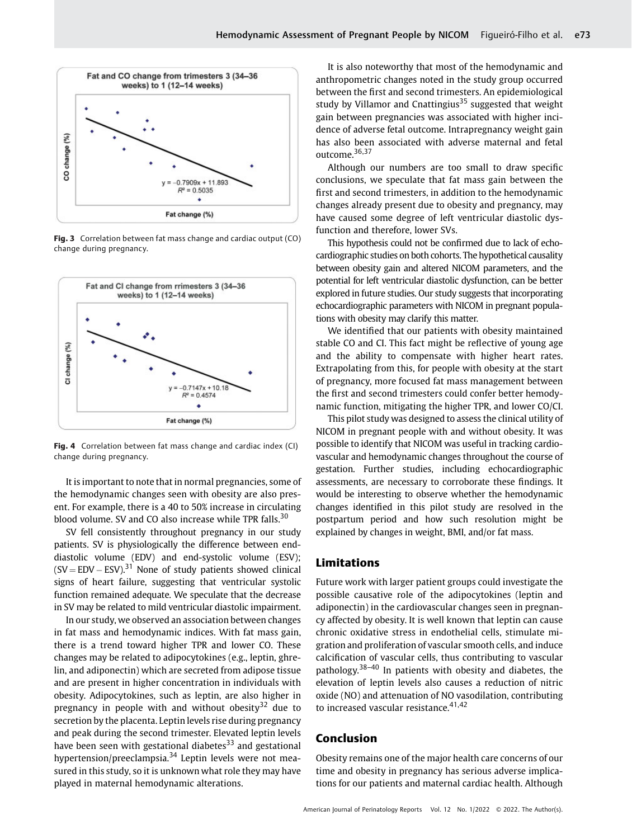

Fig. 3 Correlation between fat mass change and cardiac output (CO) change during pregnancy.



Fig. 4 Correlation between fat mass change and cardiac index (CI) change during pregnancy.

It is important to note that in normal pregnancies, some of the hemodynamic changes seen with obesity are also present. For example, there is a 40 to 50% increase in circulating blood volume. SV and CO also increase while TPR falls.<sup>30</sup>

SV fell consistently throughout pregnancy in our study patients. SV is physiologically the difference between enddiastolic volume (EDV) and end-systolic volume (ESV);  $(SV = EDV - ESV).$ <sup>31</sup> None of study patients showed clinical signs of heart failure, suggesting that ventricular systolic function remained adequate. We speculate that the decrease in SV may be related to mild ventricular diastolic impairment.

In our study, we observed an association between changes in fat mass and hemodynamic indices. With fat mass gain, there is a trend toward higher TPR and lower CO. These changes may be related to adipocytokines (e.g., leptin, ghrelin, and adiponectin) which are secreted from adipose tissue and are present in higher concentration in individuals with obesity. Adipocytokines, such as leptin, are also higher in pregnancy in people with and without obesity<sup>32</sup> due to secretion by the placenta. Leptin levels rise during pregnancy and peak during the second trimester. Elevated leptin levels have been seen with gestational diabetes $33$  and gestational hypertension/preeclampsia. $34$  Leptin levels were not measured in this study, so it is unknown what role they may have played in maternal hemodynamic alterations.

It is also noteworthy that most of the hemodynamic and anthropometric changes noted in the study group occurred between the first and second trimesters. An epidemiological study by Villamor and Cnattingius<sup>35</sup> suggested that weight gain between pregnancies was associated with higher incidence of adverse fetal outcome. Intrapregnancy weight gain has also been associated with adverse maternal and fetal outcome.<sup>36,37</sup>

Although our numbers are too small to draw specific conclusions, we speculate that fat mass gain between the first and second trimesters, in addition to the hemodynamic changes already present due to obesity and pregnancy, may have caused some degree of left ventricular diastolic dysfunction and therefore, lower SVs.

This hypothesis could not be confirmed due to lack of echocardiographic studies on both cohorts. The hypothetical causality between obesity gain and altered NICOM parameters, and the potential for left ventricular diastolic dysfunction, can be better explored in future studies. Our study suggests that incorporating echocardiographic parameters with NICOM in pregnant populations with obesity may clarify this matter.

We identified that our patients with obesity maintained stable CO and CI. This fact might be reflective of young age and the ability to compensate with higher heart rates. Extrapolating from this, for people with obesity at the start of pregnancy, more focused fat mass management between the first and second trimesters could confer better hemodynamic function, mitigating the higher TPR, and lower CO/CI.

This pilot study was designed to assess the clinical utility of NICOM in pregnant people with and without obesity. It was possible to identify that NICOM was useful in tracking cardiovascular and hemodynamic changes throughout the course of gestation. Further studies, including echocardiographic assessments, are necessary to corroborate these findings. It would be interesting to observe whether the hemodynamic changes identified in this pilot study are resolved in the postpartum period and how such resolution might be explained by changes in weight, BMI, and/or fat mass.

### Limitations

Future work with larger patient groups could investigate the possible causative role of the adipocytokines (leptin and adiponectin) in the cardiovascular changes seen in pregnancy affected by obesity. It is well known that leptin can cause chronic oxidative stress in endothelial cells, stimulate migration and proliferation of vascular smooth cells, and induce calcification of vascular cells, thus contributing to vascular pathology.38–<sup>40</sup> In patients with obesity and diabetes, the elevation of leptin levels also causes a reduction of nitric oxide (NO) and attenuation of NO vasodilation, contributing to increased vascular resistance.<sup>41,42</sup>

# Conclusion

Obesity remains one of the major health care concerns of our time and obesity in pregnancy has serious adverse implications for our patients and maternal cardiac health. Although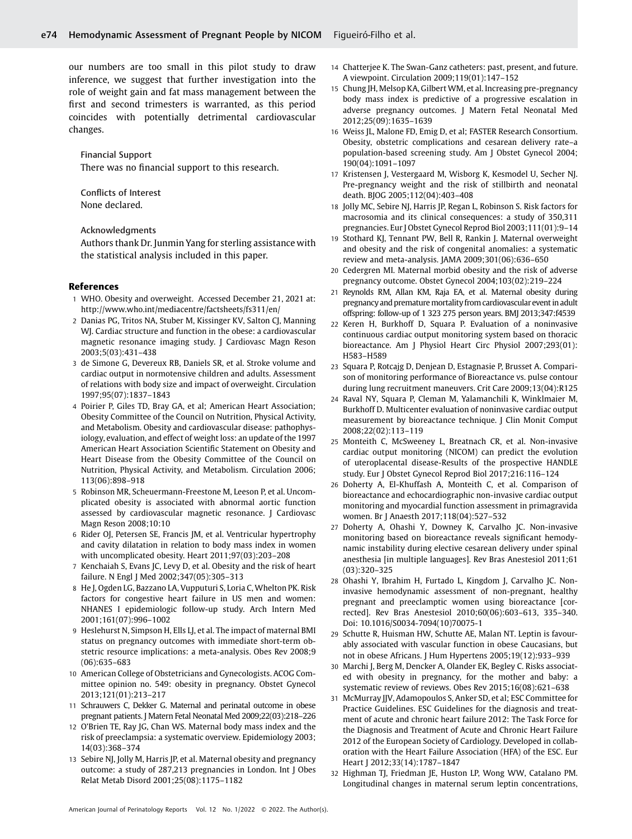our numbers are too small in this pilot study to draw inference, we suggest that further investigation into the role of weight gain and fat mass management between the first and second trimesters is warranted, as this period coincides with potentially detrimental cardiovascular changes.

Financial Support There was no financial support to this research.

Conflicts of Interest None declared.

Acknowledgments

Authors thank Dr. Junmin Yang for sterling assistance with the statistical analysis included in this paper.

#### References

- 1 WHO. Obesity and overweight. Accessed December 21, 2021 at: <http://www.who.int/mediacentre/factsheets/fs311/en/>
- 2 Danias PG, Tritos NA, Stuber M, Kissinger KV, Salton CJ, Manning WJ. Cardiac structure and function in the obese: a cardiovascular magnetic resonance imaging study. J Cardiovasc Magn Reson 2003;5(03):431–438
- 3 de Simone G, Devereux RB, Daniels SR, et al. Stroke volume and cardiac output in normotensive children and adults. Assessment of relations with body size and impact of overweight. Circulation 1997;95(07):1837–1843
- 4 Poirier P, Giles TD, Bray GA, et al; American Heart Association; Obesity Committee of the Council on Nutrition, Physical Activity, and Metabolism. Obesity and cardiovascular disease: pathophysiology, evaluation, and effect of weight loss: an update of the 1997 American Heart Association Scientific Statement on Obesity and Heart Disease from the Obesity Committee of the Council on Nutrition, Physical Activity, and Metabolism. Circulation 2006; 113(06):898–918
- 5 Robinson MR, Scheuermann-Freestone M, Leeson P, et al. Uncomplicated obesity is associated with abnormal aortic function assessed by cardiovascular magnetic resonance. J Cardiovasc Magn Reson 2008;10:10
- 6 Rider OJ, Petersen SE, Francis JM, et al. Ventricular hypertrophy and cavity dilatation in relation to body mass index in women with uncomplicated obesity. Heart 2011;97(03):203–208
- 7 Kenchaiah S, Evans JC, Levy D, et al. Obesity and the risk of heart failure. N Engl J Med 2002;347(05):305–313
- 8 He J, Ogden LG, Bazzano LA, Vupputuri S, Loria C, Whelton PK. Risk factors for congestive heart failure in US men and women: NHANES I epidemiologic follow-up study. Arch Intern Med 2001;161(07):996–1002
- 9 Heslehurst N, Simpson H, Ells LJ, et al. The impact of maternal BMI status on pregnancy outcomes with immediate short-term obstetric resource implications: a meta-analysis. Obes Rev 2008;9 (06):635–683
- 10 American College of Obstetricians and Gynecologists. ACOG Committee opinion no. 549: obesity in pregnancy. Obstet Gynecol 2013;121(01):213–217
- 11 Schrauwers C, Dekker G. Maternal and perinatal outcome in obese pregnant patients. J Matern Fetal Neonatal Med 2009;22(03):218–226
- 12 O'Brien TE, Ray JG, Chan WS. Maternal body mass index and the risk of preeclampsia: a systematic overview. Epidemiology 2003; 14(03):368–374
- 13 Sebire NJ, Jolly M, Harris JP, et al. Maternal obesity and pregnancy outcome: a study of 287,213 pregnancies in London. Int J Obes Relat Metab Disord 2001;25(08):1175–1182
- 14 Chatterjee K. The Swan-Ganz catheters: past, present, and future. A viewpoint. Circulation 2009;119(01):147–152
- 15 Chung JH, Melsop KA, Gilbert WM, et al. Increasing pre-pregnancy body mass index is predictive of a progressive escalation in adverse pregnancy outcomes. J Matern Fetal Neonatal Med 2012;25(09):1635–1639
- 16 Weiss JL, Malone FD, Emig D, et al; FASTER Research Consortium. Obesity, obstetric complications and cesarean delivery rate–a population-based screening study. Am J Obstet Gynecol 2004; 190(04):1091–1097
- 17 Kristensen J, Vestergaard M, Wisborg K, Kesmodel U, Secher NJ. Pre-pregnancy weight and the risk of stillbirth and neonatal death. BJOG 2005;112(04):403–408
- Jolly MC, Sebire NJ, Harris JP, Regan L, Robinson S. Risk factors for macrosomia and its clinical consequences: a study of 350,311 pregnancies. Eur J Obstet Gynecol Reprod Biol 2003;111(01):9–14
- 19 Stothard KJ, Tennant PW, Bell R, Rankin J. Maternal overweight and obesity and the risk of congenital anomalies: a systematic review and meta-analysis. JAMA 2009;301(06):636–650
- 20 Cedergren MI. Maternal morbid obesity and the risk of adverse pregnancy outcome. Obstet Gynecol 2004;103(02):219–224
- 21 Reynolds RM, Allan KM, Raja EA, et al. Maternal obesity during pregnancy and premature mortality from cardiovascular event in adult offspring: follow-up of 1 323 275 person years. BMJ 2013;347:f4539
- Keren H, Burkhoff D, Squara P. Evaluation of a noninvasive continuous cardiac output monitoring system based on thoracic bioreactance. Am J Physiol Heart Circ Physiol 2007;293(01): H583–H589
- 23 Squara P, Rotcajg D, Denjean D, Estagnasie P, Brusset A. Comparison of monitoring performance of Bioreactance vs. pulse contour during lung recruitment maneuvers. Crit Care 2009;13(04):R125
- 24 Raval NY, Squara P, Cleman M, Yalamanchili K, Winklmaier M, Burkhoff D. Multicenter evaluation of noninvasive cardiac output measurement by bioreactance technique. J Clin Monit Comput 2008;22(02):113–119
- 25 Monteith C, McSweeney L, Breatnach CR, et al. Non-invasive cardiac output monitoring (NICOM) can predict the evolution of uteroplacental disease-Results of the prospective HANDLE study. Eur J Obstet Gynecol Reprod Biol 2017;216:116–124
- 26 Doherty A, El-Khuffash A, Monteith C, et al. Comparison of bioreactance and echocardiographic non-invasive cardiac output monitoring and myocardial function assessment in primagravida women. Br J Anaesth 2017;118(04):527–532
- 27 Doherty A, Ohashi Y, Downey K, Carvalho JC. Non-invasive monitoring based on bioreactance reveals significant hemodynamic instability during elective cesarean delivery under spinal anesthesia [in multiple languages]. Rev Bras Anestesiol 2011;61 (03):320–325
- 28 Ohashi Y, Ibrahim H, Furtado L, Kingdom J, Carvalho JC. Noninvasive hemodynamic assessment of non-pregnant, healthy pregnant and preeclamptic women using bioreactance [corrected]. Rev Bras Anestesiol 2010;60(06):603–613, 335–340. Doi: 10.1016/S0034-7094(10)70075-1
- 29 Schutte R, Huisman HW, Schutte AE, Malan NT. Leptin is favourably associated with vascular function in obese Caucasians, but not in obese Africans. J Hum Hypertens 2005;19(12):933–939
- 30 Marchi J, Berg M, Dencker A, Olander EK, Begley C. Risks associated with obesity in pregnancy, for the mother and baby: a systematic review of reviews. Obes Rev 2015;16(08):621–638
- 31 McMurray JJV, Adamopoulos S, Anker SD, et al; ESC Committee for Practice Guidelines. ESC Guidelines for the diagnosis and treatment of acute and chronic heart failure 2012: The Task Force for the Diagnosis and Treatment of Acute and Chronic Heart Failure 2012 of the European Society of Cardiology. Developed in collaboration with the Heart Failure Association (HFA) of the ESC. Eur Heart J 2012;33(14):1787–1847
- 32 Highman TJ, Friedman JE, Huston LP, Wong WW, Catalano PM. Longitudinal changes in maternal serum leptin concentrations,